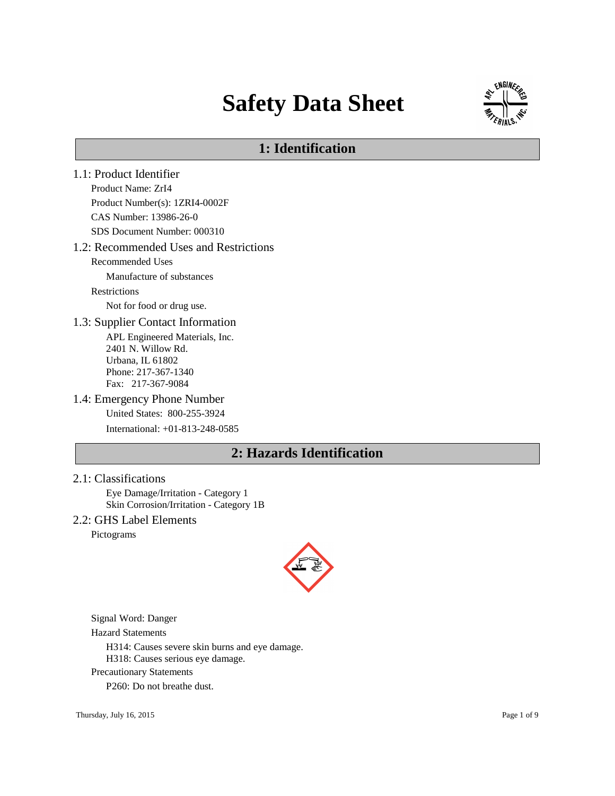# **Safety Data Sheet**



# **1: Identification**

1.1: Product Identifier Product Name: ZrI4 Product Number(s): 1ZRI4-0002F CAS Number: 13986-26-0 SDS Document Number: 000310 1.2: Recommended Uses and Restrictions Recommended Uses Manufacture of substances Restrictions Not for food or drug use. 1.3: Supplier Contact Information APL Engineered Materials, Inc. 2401 N. Willow Rd. Urbana, IL 61802 Phone: 217-367-1340 Fax: 217-367-9084 1.4: Emergency Phone Number United States: 800-255-3924 International: +01-813-248-0585 **2: Hazards Identification**

#### 2.1: Classifications

Eye Damage/Irritation - Category 1 Skin Corrosion/Irritation - Category 1B

### 2.2: GHS Label Elements

Pictograms



Signal Word: Danger

Hazard Statements

H314: Causes severe skin burns and eye damage.

H318: Causes serious eye damage.

Precautionary Statements

P260: Do not breathe dust.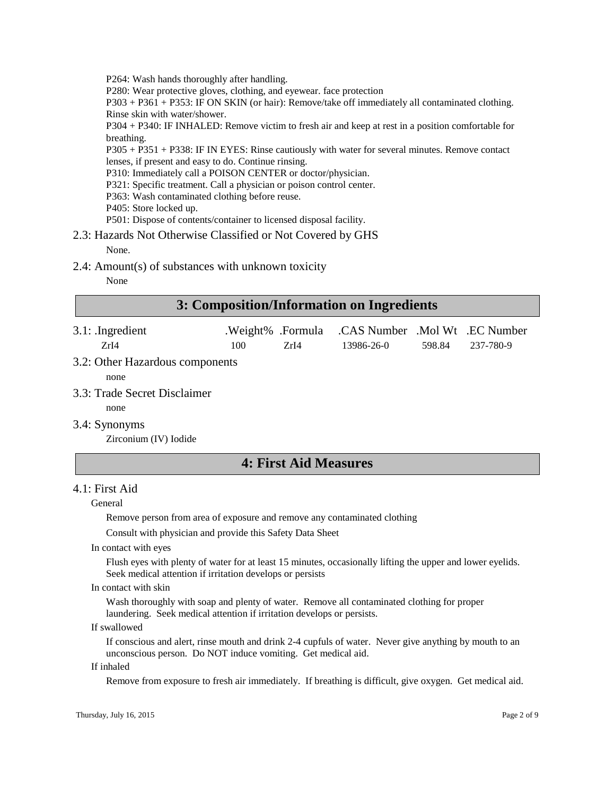P264: Wash hands thoroughly after handling.

P280: Wear protective gloves, clothing, and eyewear. face protection

P303 + P361 + P353: IF ON SKIN (or hair): Remove/take off immediately all contaminated clothing. Rinse skin with water/shower.

P304 + P340: IF INHALED: Remove victim to fresh air and keep at rest in a position comfortable for breathing.

P305 + P351 + P338: IF IN EYES: Rinse cautiously with water for several minutes. Remove contact lenses, if present and easy to do. Continue rinsing.

P310: Immediately call a POISON CENTER or doctor/physician.

P321: Specific treatment. Call a physician or poison control center.

- P363: Wash contaminated clothing before reuse.
- P405: Store locked up.

P501: Dispose of contents/container to licensed disposal facility.

2.3: Hazards Not Otherwise Classified or Not Covered by GHS

None.

2.4: Amount(s) of substances with unknown toxicity

None

# **3: Composition/Information on Ingredients**

| $3.1:$ . Ingredient | .Weight% .Formula .CAS Number .Mol Wt .EC Number |            |                  |
|---------------------|--------------------------------------------------|------------|------------------|
| ZrI4                | 100<br>ZrI4                                      | 13986-26-0 | 598.84 237-780-9 |
| $22.21$ TT          |                                                  |            |                  |

3.2: Other Hazardous components

none

- 3.3: Trade Secret Disclaimer
	- none

#### 3.4: Synonyms

Zirconium (IV) Iodide

# **4: First Aid Measures**

### 4.1: First Aid

#### General

Remove person from area of exposure and remove any contaminated clothing

Consult with physician and provide this Safety Data Sheet

In contact with eyes

Flush eyes with plenty of water for at least 15 minutes, occasionally lifting the upper and lower eyelids. Seek medical attention if irritation develops or persists

In contact with skin

Wash thoroughly with soap and plenty of water. Remove all contaminated clothing for proper laundering. Seek medical attention if irritation develops or persists.

#### If swallowed

If conscious and alert, rinse mouth and drink 2-4 cupfuls of water. Never give anything by mouth to an unconscious person. Do NOT induce vomiting. Get medical aid.

#### If inhaled

Remove from exposure to fresh air immediately. If breathing is difficult, give oxygen. Get medical aid.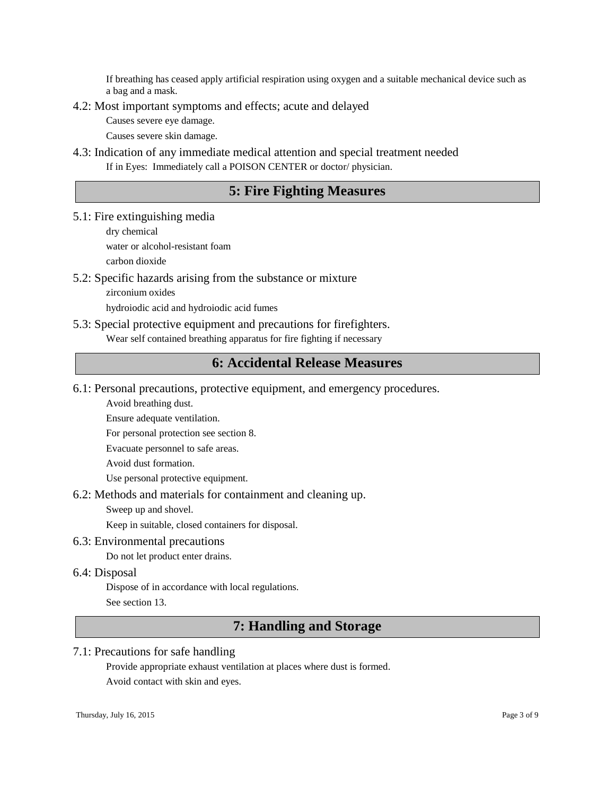If breathing has ceased apply artificial respiration using oxygen and a suitable mechanical device such as a bag and a mask.

### 4.2: Most important symptoms and effects; acute and delayed

Causes severe eye damage.

Causes severe skin damage.

4.3: Indication of any immediate medical attention and special treatment needed If in Eyes: Immediately call a POISON CENTER or doctor/ physician.

# **5: Fire Fighting Measures**

5.1: Fire extinguishing media

dry chemical water or alcohol-resistant foam

carbon dioxide

### 5.2: Specific hazards arising from the substance or mixture

zirconium oxides

hydroiodic acid and hydroiodic acid fumes

### 5.3: Special protective equipment and precautions for firefighters.

Wear self contained breathing apparatus for fire fighting if necessary

# **6: Accidental Release Measures**

6.1: Personal precautions, protective equipment, and emergency procedures.

Avoid breathing dust.

Ensure adequate ventilation.

For personal protection see section 8.

Evacuate personnel to safe areas.

Avoid dust formation.

Use personal protective equipment.

6.2: Methods and materials for containment and cleaning up.

Sweep up and shovel.

Keep in suitable, closed containers for disposal.

6.3: Environmental precautions

Do not let product enter drains.

6.4: Disposal

Dispose of in accordance with local regulations.

See section 13.

# **7: Handling and Storage**

### 7.1: Precautions for safe handling

Provide appropriate exhaust ventilation at places where dust is formed. Avoid contact with skin and eyes.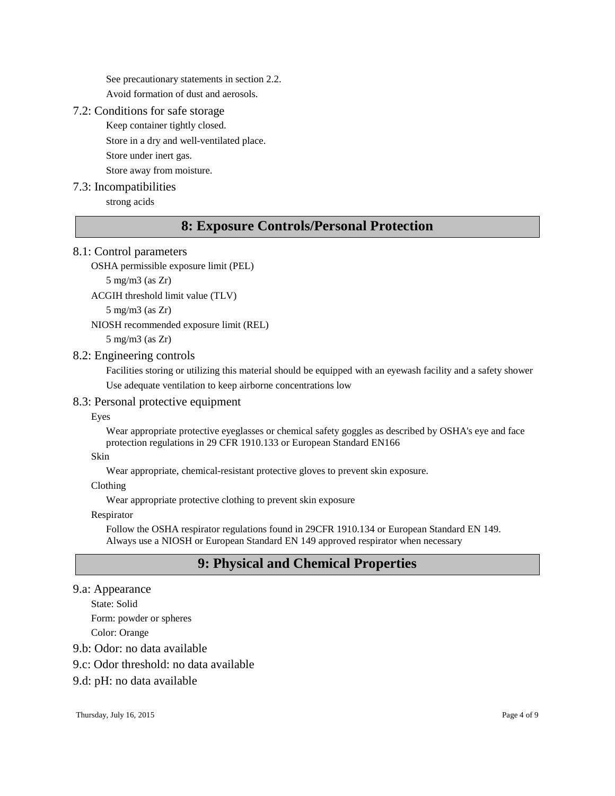See precautionary statements in section 2.2. Avoid formation of dust and aerosols.

#### 7.2: Conditions for safe storage

Keep container tightly closed.

Store in a dry and well-ventilated place.

Store under inert gas.

Store away from moisture.

### 7.3: Incompatibilities

strong acids

# **8: Exposure Controls/Personal Protection**

### 8.1: Control parameters

```
OSHA permissible exposure limit (PEL)
```
5 mg/m3 (as Zr)

ACGIH threshold limit value (TLV)

5 mg/m3 (as Zr)

NIOSH recommended exposure limit (REL)

5 mg/m3 (as Zr)

#### 8.2: Engineering controls

Facilities storing or utilizing this material should be equipped with an eyewash facility and a safety shower Use adequate ventilation to keep airborne concentrations low

### 8.3: Personal protective equipment

Eyes

Wear appropriate protective eyeglasses or chemical safety goggles as described by OSHA's eye and face protection regulations in 29 CFR 1910.133 or European Standard EN166

#### Skin

Wear appropriate, chemical-resistant protective gloves to prevent skin exposure.

Clothing

Wear appropriate protective clothing to prevent skin exposure

Respirator

Follow the OSHA respirator regulations found in 29CFR 1910.134 or European Standard EN 149. Always use a NIOSH or European Standard EN 149 approved respirator when necessary

# **9: Physical and Chemical Properties**

9.a: Appearance

State: Solid

Form: powder or spheres

Color: Orange

9.b: Odor: no data available

9.c: Odor threshold: no data available

### 9.d: pH: no data available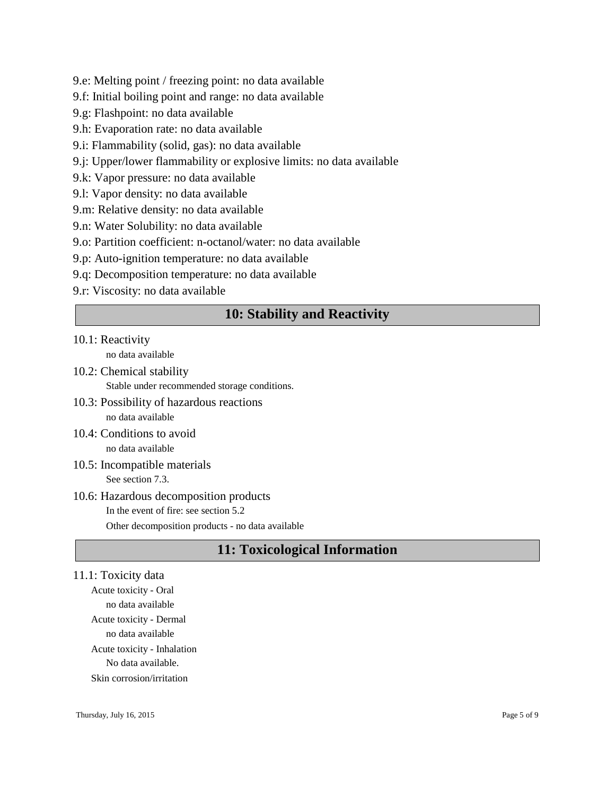- 9.e: Melting point / freezing point: no data available
- 9.f: Initial boiling point and range: no data available
- 9.g: Flashpoint: no data available
- 9.h: Evaporation rate: no data available
- 9.i: Flammability (solid, gas): no data available
- 9.j: Upper/lower flammability or explosive limits: no data available
- 9.k: Vapor pressure: no data available
- 9.l: Vapor density: no data available
- 9.m: Relative density: no data available
- 9.n: Water Solubility: no data available
- 9.o: Partition coefficient: n-octanol/water: no data available
- 9.p: Auto-ignition temperature: no data available
- 9.q: Decomposition temperature: no data available
- 9.r: Viscosity: no data available

# **10: Stability and Reactivity**

### 10.1: Reactivity

no data available

- 10.2: Chemical stability Stable under recommended storage conditions.
- 10.3: Possibility of hazardous reactions no data available
- 10.4: Conditions to avoid no data available
- 10.5: Incompatible materials See section 7.3.

# 10.6: Hazardous decomposition products

In the event of fire: see section 5.2 Other decomposition products - no data available

# **11: Toxicological Information**

# 11.1: Toxicity data

Acute toxicity - Oral no data available Acute toxicity - Dermal no data available Acute toxicity - Inhalation No data available. Skin corrosion/irritation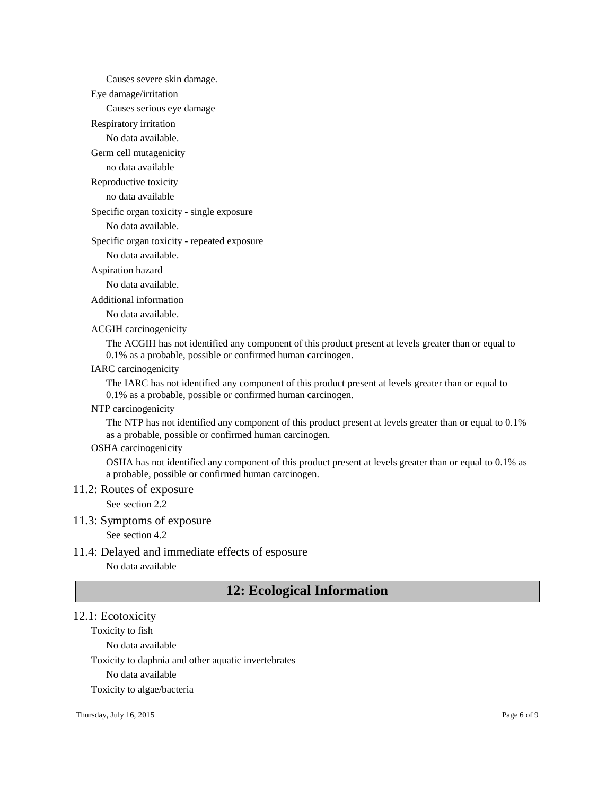Causes severe skin damage.

Eye damage/irritation

Causes serious eye damage

Respiratory irritation

No data available.

Germ cell mutagenicity

no data available

### Reproductive toxicity

no data available

Specific organ toxicity - single exposure

No data available.

#### Specific organ toxicity - repeated exposure

No data available.

#### Aspiration hazard

No data available.

Additional information

No data available.

ACGIH carcinogenicity

The ACGIH has not identified any component of this product present at levels greater than or equal to 0.1% as a probable, possible or confirmed human carcinogen.

### IARC carcinogenicity

The IARC has not identified any component of this product present at levels greater than or equal to 0.1% as a probable, possible or confirmed human carcinogen.

#### NTP carcinogenicity

The NTP has not identified any component of this product present at levels greater than or equal to 0.1% as a probable, possible or confirmed human carcinogen.

#### OSHA carcinogenicity

OSHA has not identified any component of this product present at levels greater than or equal to 0.1% as a probable, possible or confirmed human carcinogen.

#### 11.2: Routes of exposure

See section 2.2

#### 11.3: Symptoms of exposure

See section 4.2

#### 11.4: Delayed and immediate effects of esposure

No data available

# **12: Ecological Information**

#### 12.1: Ecotoxicity

Toxicity to fish

No data available

Toxicity to daphnia and other aquatic invertebrates

No data available

Toxicity to algae/bacteria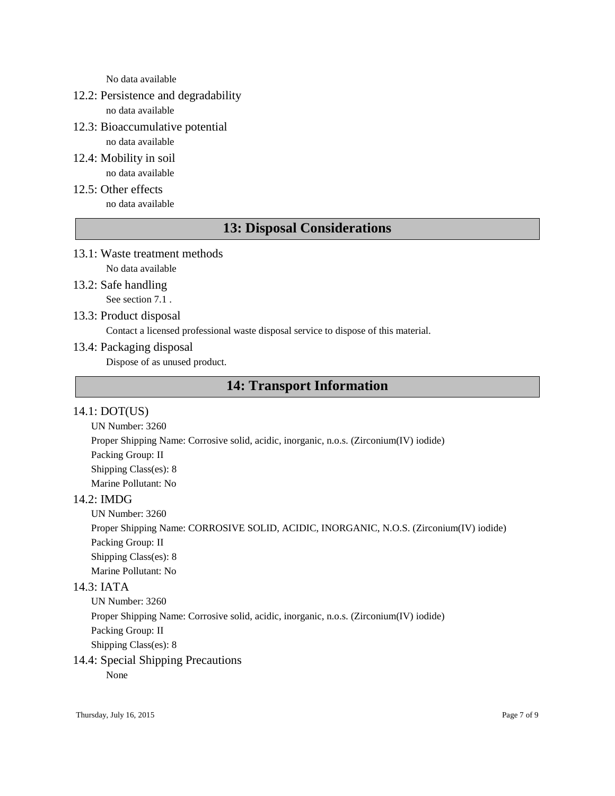No data available

# 12.2: Persistence and degradability

no data available

- 12.3: Bioaccumulative potential no data available
- 12.4: Mobility in soil no data available
- 12.5: Other effects no data available

# **13: Disposal Considerations**

- 13.1: Waste treatment methods No data available
- 13.2: Safe handling

See section 7.1 .

13.3: Product disposal

Contact a licensed professional waste disposal service to dispose of this material.

13.4: Packaging disposal

Dispose of as unused product.

# **14: Transport Information**

### 14.1: DOT(US)

UN Number: 3260 Proper Shipping Name: Corrosive solid, acidic, inorganic, n.o.s. (Zirconium(IV) iodide) Packing Group: II Shipping Class(es): 8 Marine Pollutant: No

## 14.2: IMDG

UN Number: 3260

Proper Shipping Name: CORROSIVE SOLID, ACIDIC, INORGANIC, N.O.S. (Zirconium(IV) iodide) Packing Group: II Shipping Class(es): 8 Marine Pollutant: No

# 14.3: IATA

UN Number: 3260 Proper Shipping Name: Corrosive solid, acidic, inorganic, n.o.s. (Zirconium(IV) iodide) Packing Group: II Shipping Class(es): 8

# 14.4: Special Shipping Precautions

None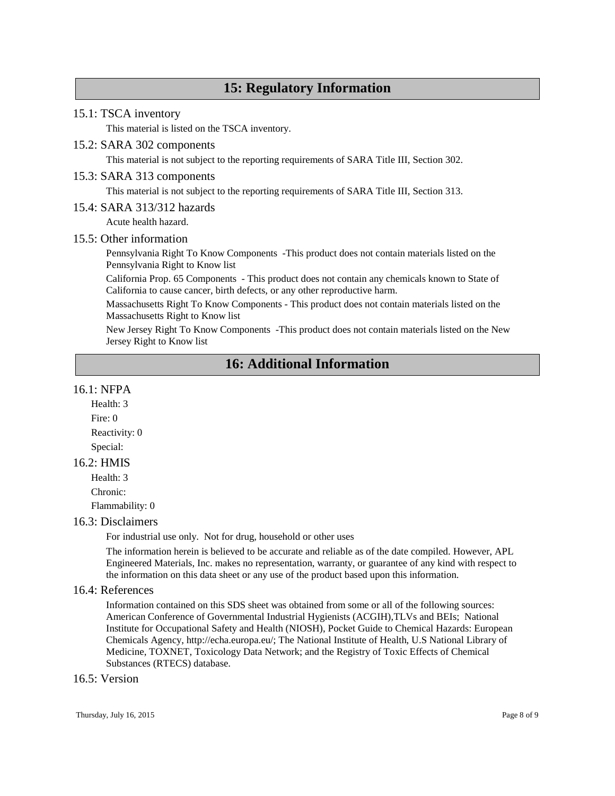# **15: Regulatory Information**

#### 15.1: TSCA inventory

This material is listed on the TSCA inventory.

#### 15.2: SARA 302 components

This material is not subject to the reporting requirements of SARA Title III, Section 302.

#### 15.3: SARA 313 components

This material is not subject to the reporting requirements of SARA Title III, Section 313.

#### 15.4: SARA 313/312 hazards

Acute health hazard.

#### 15.5: Other information

Pennsylvania Right To Know Components -This product does not contain materials listed on the Pennsylvania Right to Know list

California Prop. 65 Components - This product does not contain any chemicals known to State of California to cause cancer, birth defects, or any other reproductive harm.

Massachusetts Right To Know Components - This product does not contain materials listed on the Massachusetts Right to Know list

New Jersey Right To Know Components -This product does not contain materials listed on the New Jersey Right to Know list

# **16: Additional Information**

#### 16.1: NFPA

Health: 3 Fire: 0 Reactivity: 0 Special:

#### 16.2: HMIS

Health: 3 Chronic: Flammability: 0

#### 16.3: Disclaimers

For industrial use only. Not for drug, household or other uses

The information herein is believed to be accurate and reliable as of the date compiled. However, APL Engineered Materials, Inc. makes no representation, warranty, or guarantee of any kind with respect to the information on this data sheet or any use of the product based upon this information.

### 16.4: References

Information contained on this SDS sheet was obtained from some or all of the following sources: American Conference of Governmental Industrial Hygienists (ACGIH),TLVs and BEIs; National Institute for Occupational Safety and Health (NIOSH), Pocket Guide to Chemical Hazards: European Chemicals Agency, http://echa.europa.eu/; The National Institute of Health, U.S National Library of Medicine, TOXNET, Toxicology Data Network; and the Registry of Toxic Effects of Chemical Substances (RTECS) database.

#### 16.5: Version